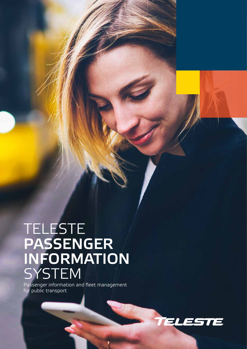### TELESTE PASSENGER INFORMATION SYSTEM

Passenger information and fleet management for public transport

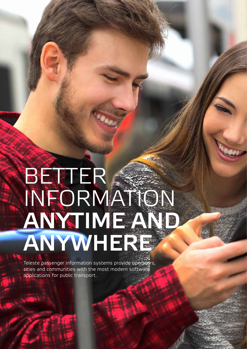# BETTER, INFORMATION ANYTIME AND ANYWHERE

Teleste passenger information systems provide operators, cities and communities with the most modern software applications for public transport.

2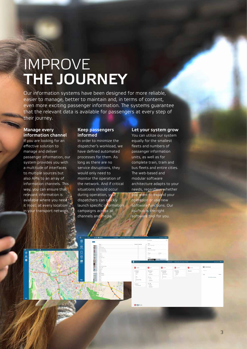# IMPROVE THE JOURNEY

Our information systems have been designed for more reliable, easier to manage, better to maintain and, in terms of content, even more exciting passenger information. The systems guarantee that the relevant data is available for passengers at every step of their journey.

#### Manage every information channel

If you are looking for an effective solution to manage and deliver passenger information, our system provides you with a multitude of interfaces to multiple sources but also APIs to an array of information channels. This way, you can ensure that relevant information is available where you need it most: at every location in your transport network.

#### Keep passengers informed

In order to minimize the dispatcher's workload, we have defined automated processes for them. As long as there are no service disruptions, they would only need to monitor the operation of the network. And if critical situations should occur during operation, your dispatchers can quickly launch specific information campaigns across all channels and media.

ASKANDON BRESSING AT 1700

#### Let your system grow

You can utilize our system equally for the smallest fleets and numbers of passenger information units, as well as for complete train, tram and bus fleets and entire cities. The web-based and modular software architecture adapts to your needs, regardless whether you want to expand your operation or use new software functions. Our iqu/hub is the right software tool for you.



| <b>B</b> interest                                                       |                                                        | 30552.PM<br>Nedrosta Dicerton (2,201)                                        |                                                             |         | <b>RESIDENTE O C</b>                                  |       |
|-------------------------------------------------------------------------|--------------------------------------------------------|------------------------------------------------------------------------------|-------------------------------------------------------------|---------|-------------------------------------------------------|-------|
| <b>CO</b> Hole                                                          | $\mathbf{C}$                                           | $\mathbf{Q} = 0$                                                             | э<br>Parties                                                | 2       | and a financial company of the bat-<br>Bulletin Board |       |
| (2 kwise)<br>19114<br>here.<br>(Fee<br>'n<br><b>Alexander Food</b><br>٠ | School 2<br>1404<br>Salaried<br>$rac{1}{1}$<br>3 panel | ID General<br><b>Valence</b><br>painting also<br>other work.<br><b>MARCA</b> | <b>Campa</b><br>$\frac{15\,\mathrm{keV}}{10\,\mathrm{keV}}$ | Assess. | Denver,<br>$\frac{1}{2}$<br><b>Size Hiter company</b> | Sand. |
| $\Delta$ Alatons<br>Associated                                          | El Tam<br>Partes<br>Palamed                            |                                                                              |                                                             |         |                                                       |       |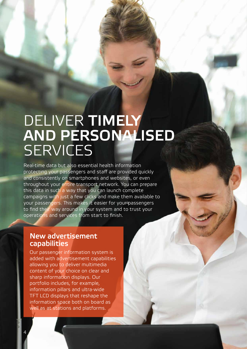## DELIVER TIMELY AND PERSONALISED SERVICES

Real-time data but also essential health information protecting your passengers and staff are provided quickly and consistently on smartphones and websites, or even throughout your entire transport network. You can prepare this data in such a way that you can launch complete campaigns with just a few clicks and make them available to your passengers. This makes it easier for your passengers to find their way around in your system and to trust your operations and services from start to finish.

### New advertisement capabilities

Our passenger information system is added with advertisement capabilities allowing you to deliver multimedia content of your choice on clear and sharp information displays. Our portfolio includes, for example, information pillars and ultra-wide TFT LCD displays that reshape the information space both on board as well as at stations and platforms.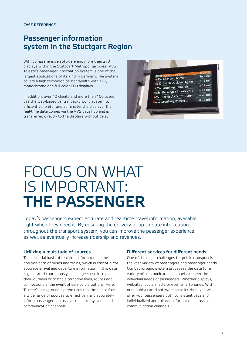### Passenger information system in the Stuttgart Region

With comprehensive software and more than 270 displays within the Stuttgart Metropolitan Area (VVS), Teleste's passenger information system is one of the largest applications of its kind in Germany. The system covers a high technological bandwidth with TFT, monochrome and full-color LED displays.

In addition, over 40 clients and more than 100 users use the web-based central background system to efficiently monitor and administer the displays. The real-time data comes via the VVS data hub and is transferred directly to the displays without delay.



## FOCUS ON WHAT IS IMPORTANT: THE PASSENGER

Today's passengers expect accurate and real-time travel information, available right when they need it. By ensuring the delivery of up-to-date information throughout the transport system, you can improve the passenger experience as well as eventually increase ridership and revenues.

#### Utilizing a multitude of sources

The essential basis of real-time information is the position data of buses and trains, which is essential for accurate arrival and departure information. If this data is generated continuously, passengers use it to plan their journeys or to find alternative lines, routes and connections in the event of service disruptions. Here, Teleste's background system uses real-time data from a wide range of sources to effectively and accurately inform passengers across all transport systems and communication channels.

#### Different services for different needs

One of the major challenges for public transport is the vast variety of passengers and passenger needs. Our background system processes the data for a variety of communication channels to meet the individual needs of passengers. Whether displays, websites, social media or even smartphones: With our sophisticated software suite iqu/hub, you will offer your passengers both consistent data and individualized and tailored information across all communication channels.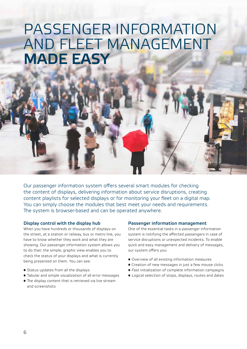### PASSENGER INFORMATION AND FLEET MANAGEMENT MADE EASY

Our passenger information system offers several smart modules for checking the content of displays, delivering information about service disruptions, creating content playlists for selected displays or for monitoring your fleet on a digital map. You can simply choose the modules that best meet your needs and requirements. The system is browser-based and can be operated anywhere.

#### Display control with the display hub

When you have hundreds or thousands of displays on the street, at a station or railway, bus or metro line, you have to know whether they work and what they are showing. Our passenger information system allows you to do that: the simple, graphic view enables you to check the status of your displays and what is currently being presented on them. You can see:

- Status updates from all the displays
- Tabular and simple visualization of all error messages
- The display content that is retrieved via live stream and screenshots

#### Passenger information management

One of the essential tasks in a passenger information system is notifying the affected passengers in case of service disruptions or unexpected incidents. To enable quick and easy management and delivery of messages, our system offers you:

- Overview of all existing information measures
- Creation of new messages in just a few mouse clicks
- Fast initialization of complete information campaigns
- Logical selection of stops, displays, routes and dates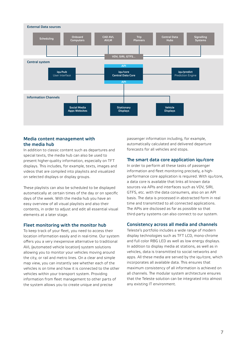

#### Media content management with the media hub

In addition to classic content such as departures and special texts, the media hub can also be used to present higher-quality information, especially on TFT displays. This includes, for example, texts, images and videos that are compiled into playlists and visualized on selected displays or display groups.

These playlists can also be scheduled to be displayed automatically at certain times of the day or on specific days of the week. With the media hub you have an easy overview of all visual playlists and also their contents, in order to adjust and edit all essential visual elements at a later stage.

#### Fleet monitoring with the monitor hub

To keep track of your fleet, you need to access their location information easily and in real-time. Our system offers you a very inexpensive alternative to traditional AVL (automated vehicle location) system solutions allowing you to monitor your vehicles moving around the city, or rail and metro lines. On a clear and simple map view, you can instantly see whether each of the vehicles is on time and how it is connected to the other vehicles within your transport system. Providing information from fleet management to other parts of the system allows you to create unique and precise

passenger information including, for example, automatically calculated and delivered departure forecasts for all vehicles and stops.

#### The smart data core application iqu/core

In order to perform all these tasks of passenger information and fleet monitoring precisely, a highperformance core application is required. With iqu/core, a data core is available that links all known data sources via APIs and interfaces such as VDV, SIRI, GTFS, etc. with the data consumers, also on an API basis. The data is processed in abstracted form in real time and transmitted to all connected applications. The APIs are disclosed as far as possible so that third-party systems can also connect to our system.

#### Consistency across all media and channels

Teleste's portfolio includes a wide range of modern display technologies such as TFT LCD, mono-chrome and full color RBG LED as well as low energy displays. In addition to display media at stations, as well as in vehicles, data is transmitted to social networks and apps. All these media are served by the jou/core, which incorporates all available data. This ensures that maximum consistency of all information is achieved on all channels. The modular system architecture ensures that the Teleste solution can be integrated into almost any existing IT environment.